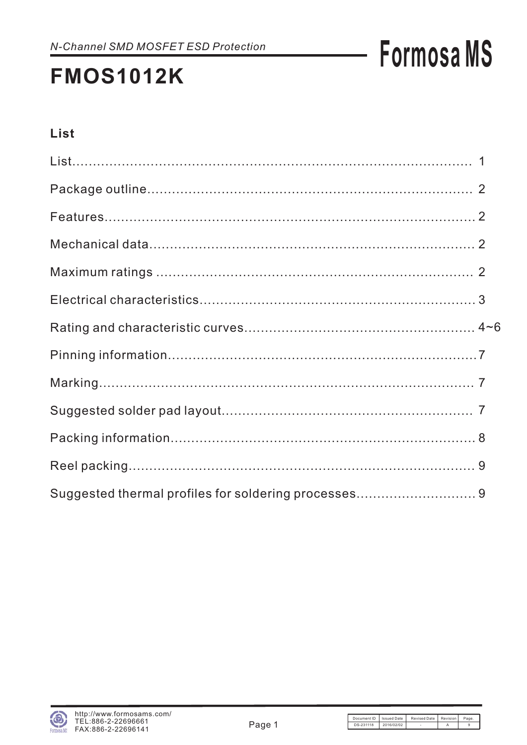### **FMOS1012K**

### List

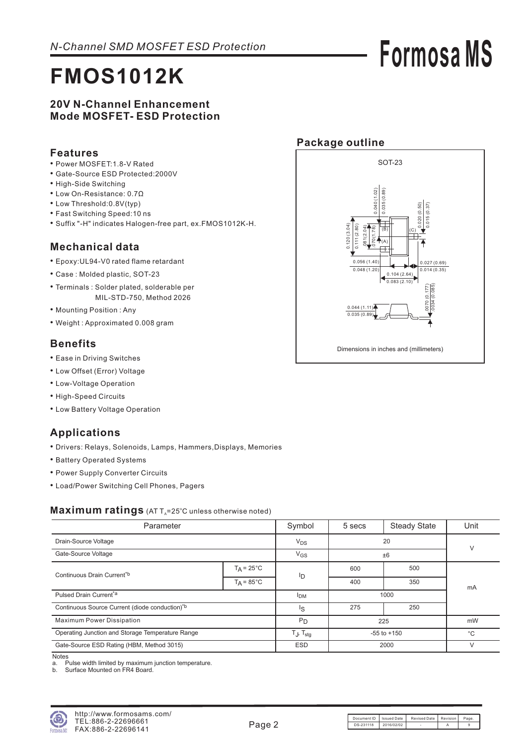### **FMOS1012K**

#### **20V N-Channel Enhancement Mode MOSFET- ESD Protection**

#### **Features**

- Power MOSFET:1.8-V Rated
- Gate-Source ESD Protected:2000V
- High-Side Switching
- Low On-Resistance: 0.7Ω
- Low Threshold:0.8V(typ)
- Fast Switching Speed:10 ns
- Suffix "-H" indicates Halogen-free part, ex.FMOS1012K-H.

#### **Mechanical data**

- Epoxy:UL94-V0 rated flame retardant •
- Case : Molded plastic, SOT-23
- Terminals : Solder plated, solderable per MIL-STD-750, Method 2026
- Mounting Position: Any
- Weight : Approximated 0.008 gram

#### **Benefits**

- Ease in Driving Switches
- Low Offset (Error) Voltage
- Low-Voltage Operation
- High-Speed Circuits
- Low Battery Voltage Operation

#### **Applications**

- Drivers: Relays, Solenoids, Lamps, Hammers,Displays, Memories
- Battery Operated Systems
- Power Supply Converter Circuits
- Load/Power Switching Cell Phones, Pagers

#### Maximum ratings (AT T<sub>A</sub>=25°C unless otherwise noted)

| Parameter                                                  | Symbol                        | 5 secs          | <b>Steady State</b> | Unit   |        |  |
|------------------------------------------------------------|-------------------------------|-----------------|---------------------|--------|--------|--|
| Drain-Source Voltage                                       | $V_{DS}$                      | 20              |                     |        |        |  |
| Gate-Source Voltage                                        |                               | $V_{GS}$        | ±6                  |        | $\vee$ |  |
| Continuous Drain Current*b                                 | $T_A = 25^{\circ}C$           | ID              | 600                 | 500    |        |  |
|                                                            | $T_A = 85^{\circ}$ C          |                 | 400                 | 350    | mA     |  |
| Pulsed Drain Current <sup>*a</sup>                         | <b>I</b> DM                   | 1000            |                     |        |        |  |
| Continuous Source Current (diode conduction) <sup>*b</sup> | Is                            | 275             | 250                 |        |        |  |
| <b>Maximum Power Dissipation</b>                           | $P_D$                         | 225             |                     | mW     |        |  |
| Operating Junction and Storage Temperature Range           | T $_{\rm J}$ , T $_{\rm stg}$ | $-55$ to $+150$ |                     | °С     |        |  |
| Gate-Source ESD Rating (HBM, Method 3015)                  | ESD                           |                 | 2000                | $\vee$ |        |  |

Notes

Accoco<br>a. Pulse width limited by maximum junction temperature.<br>b. Surface Mounted on FR4 Board.

Surface Mounted on FR4 Board.



#### **Package outline**



Document ID | Issued Date | Revised Date | Revision | Page DS-231118 2016/02/02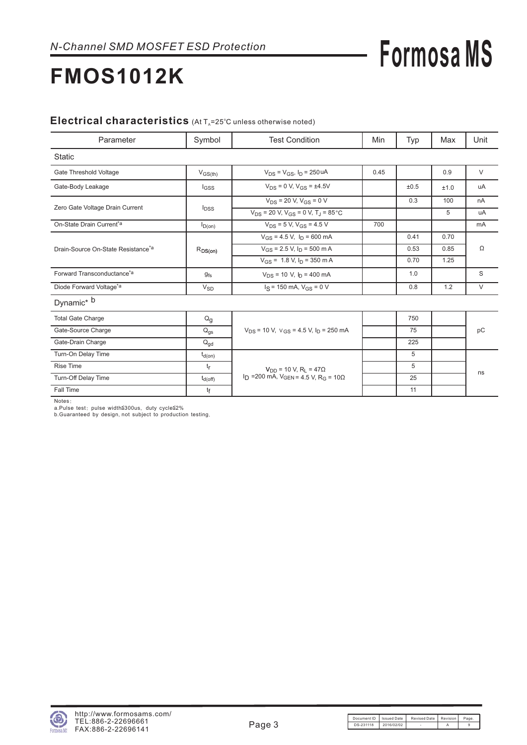### **FMOS1012K**

#### Electrical characteristics (At T<sub>A</sub>=25°C unless otherwise noted)

| Parameter                                      | Symbol                | <b>Test Condition</b>                                                    | Min  | Typ  | Max  | Unit   |  |
|------------------------------------------------|-----------------------|--------------------------------------------------------------------------|------|------|------|--------|--|
| <b>Static</b>                                  |                       |                                                                          |      |      |      |        |  |
| Gate Threshold Voltage                         | $V_{GS(th)}$          | $V_{DS} = V_{GS}$ , $I_D = 250$ uA                                       | 0.45 |      | 0.9  | $\vee$ |  |
| Gate-Body Leakage                              | $I_{GSS}$             | $V_{DS} = 0$ V, $V_{GS} = \pm 4.5V$                                      |      | ±0.5 | ±1.0 | uA     |  |
|                                                |                       | $V_{DS}$ = 20 V, $V_{GS}$ = 0 V                                          |      | 0.3  | 100  | nA     |  |
| Zero Gate Voltage Drain Current                | $I_{DSS}$             | $V_{DS}$ = 20 V, $V_{GS}$ = 0 V, T <sub>J</sub> = 85 °C                  |      |      | 5    | uA     |  |
| On-State Drain Current <sup>*a</sup>           | $I_{D(0n)}$           | $V_{DS}$ = 5 V, $V_{GS}$ = 4.5 V                                         | 700  |      |      | mA     |  |
|                                                |                       | $V_{GS}$ = 4.5 V, $I_D$ = 600 mA                                         |      | 0.41 | 0.70 |        |  |
| Drain-Source On-State Resistance <sup>*a</sup> | $R_{DS(on)}$          | $V_{GS}$ = 2.5 V, $I_D$ = 500 m A                                        |      | 0.53 | 0.85 | Ω      |  |
|                                                |                       | $V_{GS}$ = 1.8 V, $I_D$ = 350 m A                                        |      | 0.70 | 1.25 |        |  |
| Forward Transconductance <sup>*a</sup>         | $g_{fs}$              | $V_{DS}$ = 10 V, $I_D$ = 400 mA                                          |      | 1.0  |      | S      |  |
| Diode Forward Voltage <sup>*a</sup>            | <b>V<sub>SD</sub></b> | $I_S = 150$ mA, $V_{GS} = 0$ V                                           |      | 0.8  | 1.2  | $\vee$ |  |
| Dynamic <sup>*</sup> b                         |                       |                                                                          |      |      |      |        |  |
| <b>Total Gate Charge</b>                       | $Q_{q}$               |                                                                          |      | 750  |      |        |  |
| Gate-Source Charge                             | $Q_{gs}$              | $V_{DS}$ = 10 V, $V_{GS}$ = 4.5 V, $I_D$ = 250 mA                        |      | 75   |      | pC     |  |
| Gate-Drain Charge                              | $Q_{\text{ad}}$       |                                                                          |      | 225  |      |        |  |
| Turn-On Delay Time                             | $t_{d(on)}$           |                                                                          |      | 5    |      |        |  |
| <b>Rise Time</b>                               | $t_{r}$               | $V_{DD}$ = 10 V, R <sub>I</sub> = 47 $\Omega$                            |      | 5    |      |        |  |
| <b>Turn-Off Delay Time</b>                     | $t_{d(\text{off})}$   | I <sub>D</sub> = 200 mA, $V_{GEN}$ = 4.5 V, R <sub>G</sub> = 10 $\Omega$ |      | 25   |      | ns     |  |
| Fall Time                                      | tf                    |                                                                          |      | 11   |      |        |  |

Notes:<br>a.Pulse test: pulse width≦300us, duty cycle≦2%<br>b.Guaranteed by design, not subject to production testing :<br>:e test: pulse width≦300us, duty cycle≦2%<br>ranteed by design, not subject to production testing.

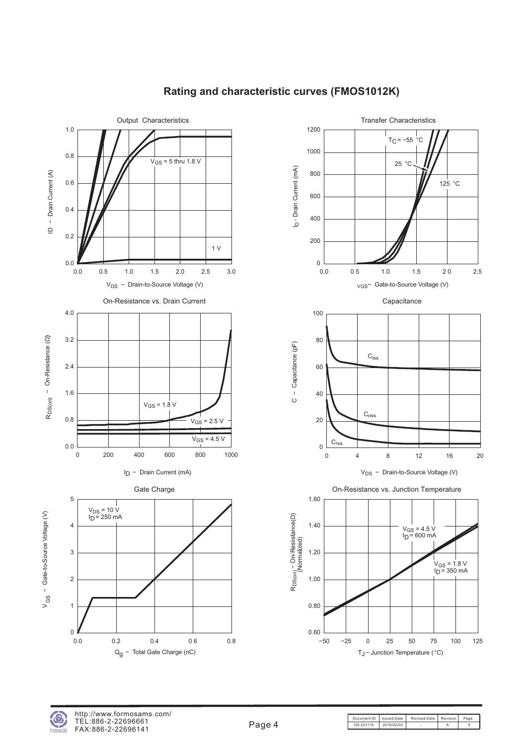

#### **Rating and characteristic curves (FMOS1012K)**





Document ID | Issued Date | Revised Date | Revision | Page DS-231118 2016/02/02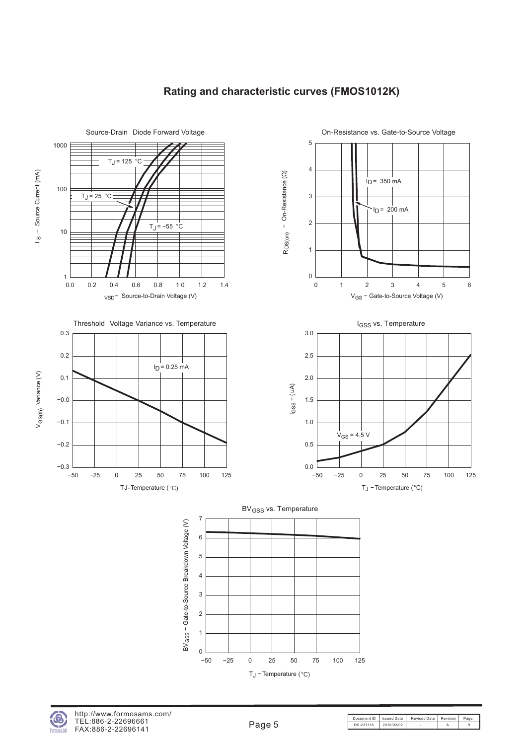

#### **Rating and characteristic curves (FMOS1012K)**



Document ID | Issued Date | Revised Date | Revision | Page DS-231118 2016/02/02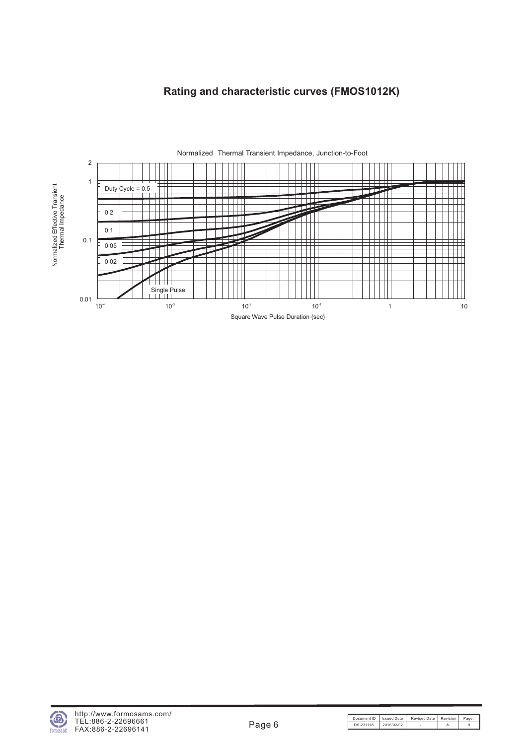#### **Rating and characteristic curves (FMOS1012K)**



sea MS

Document ID Issued Date Revised Date Revision Page. DS-231118 2016/02/02 - A 9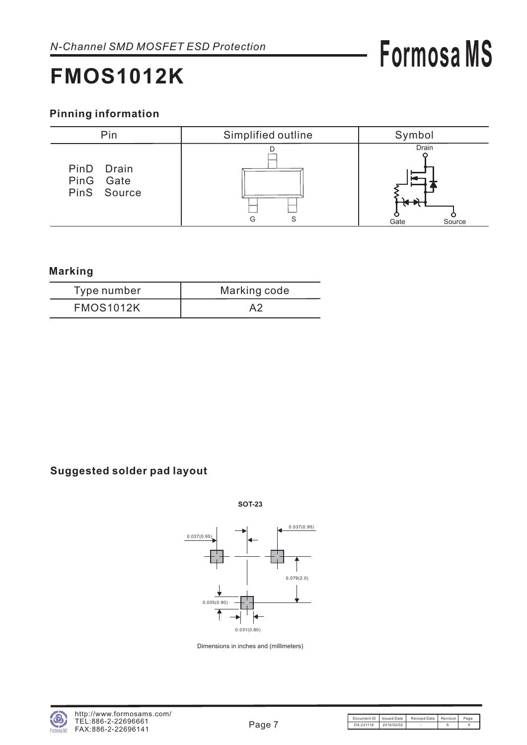### **FMOS1012K**

#### **Pinning information**



#### **Marking**

| Type number      | Marking code |
|------------------|--------------|
| <b>FMOS1012K</b> | A2           |

#### **Suggested solder pad layout**



**SOT-23**

Dimensions in inches and (millimeters)

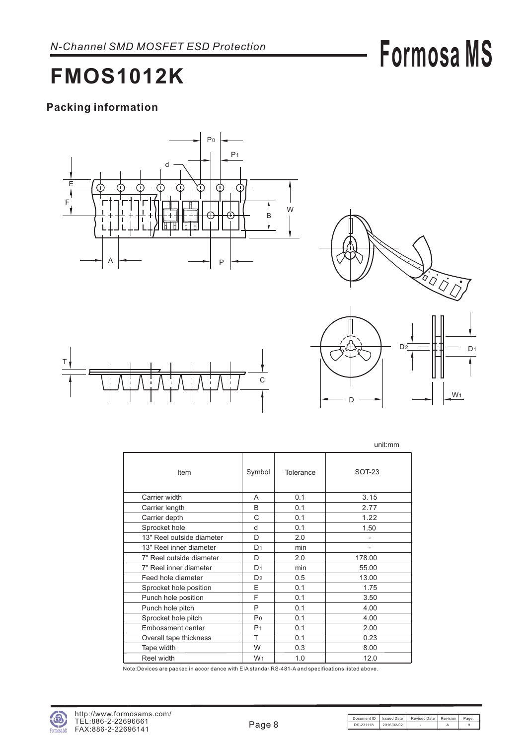### **FMOS1012K**

#### **Packing information**









unit:mm

|                           |                |           | uniu.nin      |
|---------------------------|----------------|-----------|---------------|
| Item                      | Symbol         | Tolerance | <b>SOT-23</b> |
| Carrier width             | A              | 0.1       | 3.15          |
| Carrier length            | B              | 0.1       | 2.77          |
| Carrier depth             | C              | 0.1       | 1.22          |
| Sprocket hole             | d              | 0.1       | 1.50          |
| 13" Reel outside diameter | D              | 2.0       |               |
| 13" Reel inner diameter   | D <sub>1</sub> | min       | -             |
| 7" Reel outside diameter  | D              | 2.0       | 178.00        |
| 7" Reel inner diameter    | D <sub>1</sub> | min       | 55.00         |
| Feed hole diameter        | D <sub>2</sub> | 0.5       | 13.00         |
| Sprocket hole position    | E.             | 0.1       | 1.75          |
| Punch hole position       | F              | 0.1       | 3.50          |
| Punch hole pitch          | P              | 0.1       | 4.00          |
| Sprocket hole pitch       | P <sub>0</sub> | 0.1       | 4.00          |
| Embossment center         | P <sub>1</sub> | 0.1       | 2.00          |
| Overall tape thickness    | T              | 0.1       | 0.23          |
| Tape width                | W              | 0.3       | 8.00          |
| Reel width                | W <sub>1</sub> | 1.0       | 12.0          |

Note:Devices are packed in accor dance with EIA standar RS-481-A and specifications listed above.